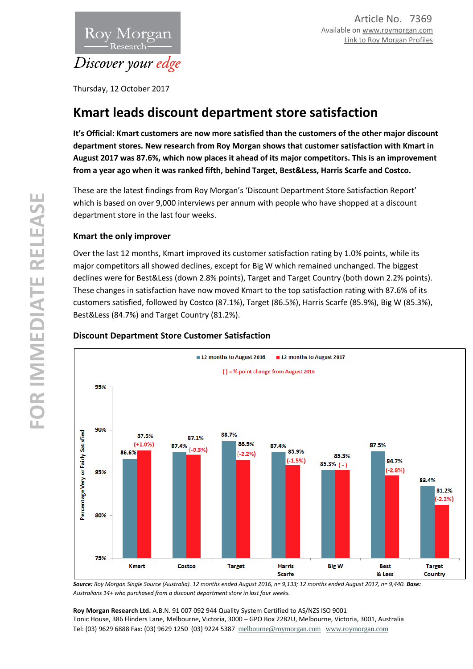

Thursday, 12 October 2017

# **Kmart leads discount department store satisfaction**

**It's Official: Kmart customers are now more satisfied than the customers of the other major discount department stores. New research from Roy Morgan shows that customer satisfaction with Kmart in August 2017 was 87.6%, which now places it ahead of its major competitors. This is an improvement from a year ago when it was ranked fifth, behind Target, Best&Less, Harris Scarfe and Costco.**

These are the latest findings from Roy Morgan's 'Discount Department Store Satisfaction Report' which is based on over 9,000 interviews per annum with people who have shopped at a discount department store in the last four weeks.

# **Kmart the only improver**

Over the last 12 months, Kmart improved its customer satisfaction rating by 1.0% points, while its major competitors all showed declines, except for Big W which remained unchanged. The biggest declines were for Best&Less (down 2.8% points), Target and Target Country (both down 2.2% points). These changes in satisfaction have now moved Kmart to the top satisfaction rating with 87.6% of its customers satisfied, followed by Costco (87.1%), Target (86.5%), Harris Scarfe (85.9%), Big W (85.3%), Best&Less (84.7%) and Target Country (81.2%).



### **Discount Department Store Customer Satisfaction**

Source: Roy Morgan Single Source (Australia). 12 months ended August 2016, n= 9,133; 12 months ended August 2017, n= 9,440. Base: *Australians 14+ who purchased from a discount department store in last four weeks.*

**Roy Morgan Research Ltd.** A.B.N. 91 007 092 944 Quality System Certified to AS/NZS ISO 9001 Tonic House, 386 Flinders Lane, Melbourne, Victoria, 3000 – GPO Box 2282U, Melbourne, Victoria, 3001, Australia Tel: (03) 9629 6888 Fax: (03) 9629 1250 (03) 9224 5387 [melbourne@roymorgan.com](mailto:melbourne@roymorgan.com) [www.roymorgan.com](http://www.roymorgan.com/)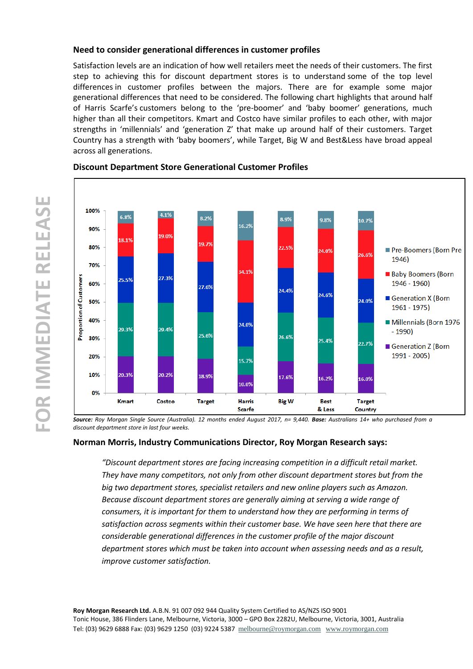### **Need to consider generational differences in customer profiles**

Satisfaction levels are an indication of how well retailers meet the needs of their customers. The first step to achieving this for discount department stores is to understand some of the top level differences in customer profiles between the majors. There are for example some major generational differences that need to be considered. The following chart highlights that around half of Harris Scarfe's customers belong to the 'pre-boomer' and 'baby boomer' generations, much higher than all their competitors. Kmart and Costco have similar profiles to each other, with major strengths in 'millennials' and 'generation Z' that make up around half of their customers. Target Country has a strength with 'baby boomers', while Target, Big W and Best&Less have broad appeal across all generations.



### **Discount Department Store Generational Customer Profiles**

*Source: Roy Morgan Single Source (Australia). 12 months ended August 2017, n= 9,440. Base: Australians 14+ who purchased from a discount department store in last four weeks.*

### **Norman Morris, Industry Communications Director, Roy Morgan Research says:**

*"Discount department stores are facing increasing competition in a difficult retail market. They have many competitors, not only from other discount department stores but from the big two department stores, specialist retailers and new online players such as Amazon. Because discount department stores are generally aiming at serving a wide range of consumers, it is important for them to understand how they are performing in terms of satisfaction across segments within their customer base. We have seen here that there are considerable generational differences in the customer profile of the major discount department stores which must be taken into account when assessing needs and as a result, improve customer satisfaction.*